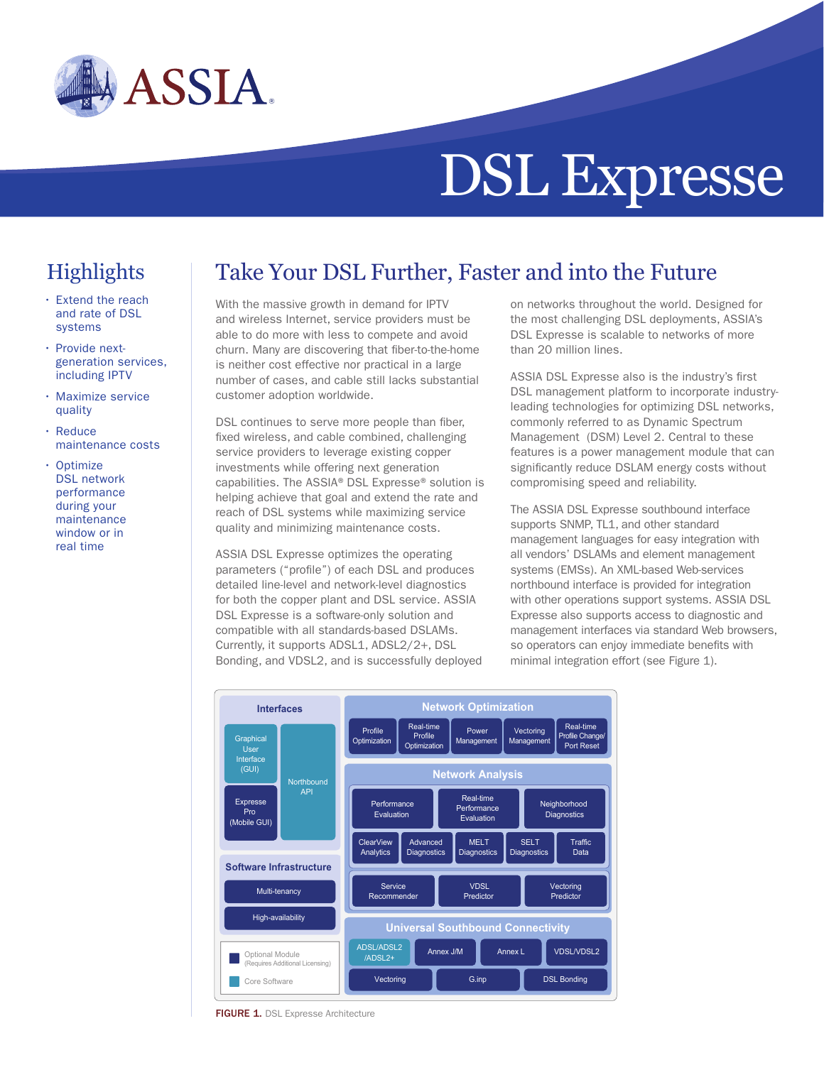

# DSL Expresse

# **Highlights**

- Extend the reach and rate of DSL systems
- Provide nextgeneration services, including IPTV
- Maximize service quality
- Reduce maintenance costs
- Optimize DSL network performance during your maintenance window or in real time

# Take Your DSL Further, Faster and into the Future

With the massive growth in demand for IPTV and wireless Internet, service providers must be able to do more with less to compete and avoid churn. Many are discovering that fiber-to-the-home is neither cost effective nor practical in a large number of cases, and cable still lacks substantial customer adoption worldwide.

DSL continues to serve more people than fiber, fixed wireless, and cable combined, challenging service providers to leverage existing copper investments while offering next generation capabilities. The ASSIA® DSL Expresse® solution is helping achieve that goal and extend the rate and reach of DSL systems while maximizing service quality and minimizing maintenance costs.

ASSIA DSL Expresse optimizes the operating parameters ("profile") of each DSL and produces detailed line-level and network-level diagnostics for both the copper plant and DSL service. ASSIA DSL Expresse is a software-only solution and compatible with all standards-based DSLAMs. Currently, it supports ADSL1, ADSL2/2+, DSL Bonding, and VDSL2, and is successfully deployed on networks throughout the world. Designed for the most challenging DSL deployments, ASSIA's DSL Expresse is scalable to networks of more than 20 million lines.

ASSIA DSL Expresse also is the industry's first DSL management platform to incorporate industryleading technologies for optimizing DSL networks, commonly referred to as Dynamic Spectrum Management (DSM) Level 2. Central to these features is a power management module that can significantly reduce DSLAM energy costs without compromising speed and reliability.

The ASSIA DSL Expresse southbound interface supports SNMP, TL1, and other standard management languages for easy integration with all vendors' DSLAMs and element management systems (EMSs). An XML-based Web-services northbound interface is provided for integration with other operations support systems. ASSIA DSL Expresse also supports access to diagnostic and management interfaces via standard Web browsers, so operators can enjoy immediate benefits with minimal integration effort (see Figure 1).



FIGURE 1. DSL Expresse Architecture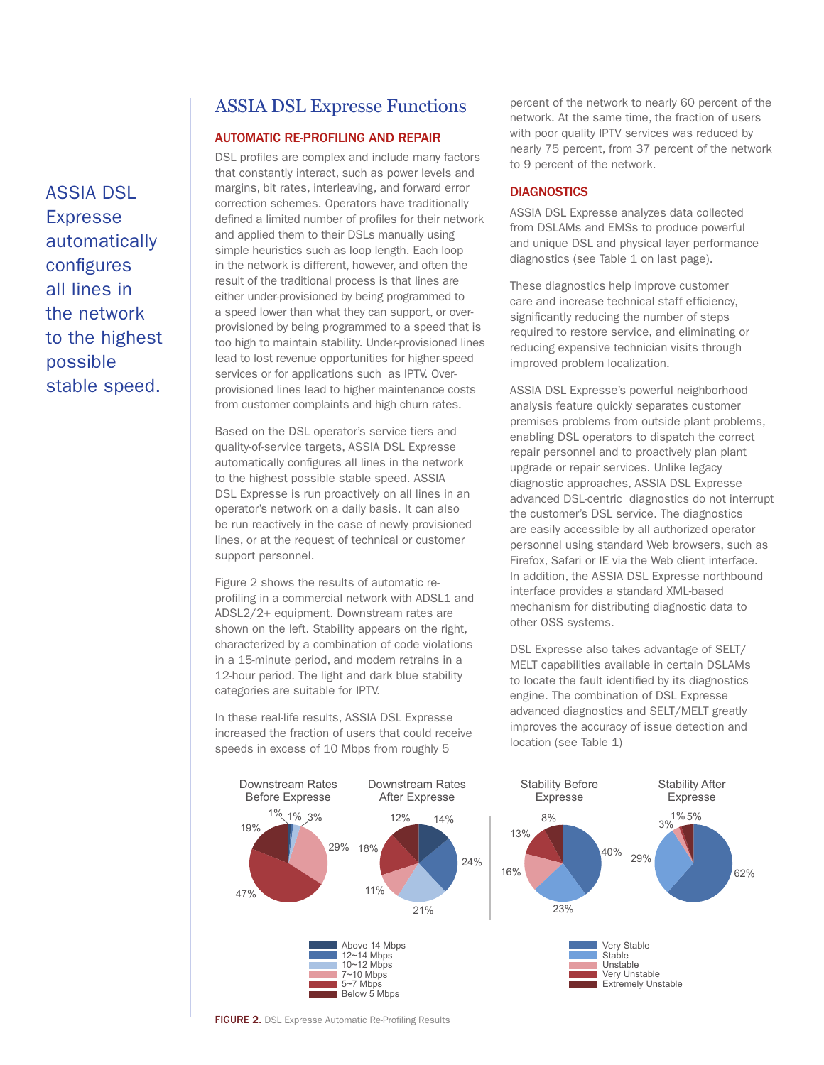## ASSIA DSL Expresse Functions

#### AUTOMATIC RE-PROFILING AND REPAIR

DSL profiles are complex and include many factors that constantly interact, such as power levels and margins, bit rates, interleaving, and forward error correction schemes. Operators have traditionally defined a limited number of profiles for their network and applied them to their DSLs manually using simple heuristics such as loop length. Each loop in the network is different, however, and often the result of the traditional process is that lines are either under-provisioned by being programmed to a speed lower than what they can support, or overprovisioned by being programmed to a speed that is too high to maintain stability. Under-provisioned lines lead to lost revenue opportunities for higher-speed services or for applications such as IPTV. Overprovisioned lines lead to higher maintenance costs from customer complaints and high churn rates.

Based on the DSL operator's service tiers and quality-of-service targets, ASSIA DSL Expresse automatically configures all lines in the network to the highest possible stable speed. ASSIA DSL Expresse is run proactively on all lines in an operator's network on a daily basis. It can also be run reactively in the case of newly provisioned lines, or at the request of technical or customer support personnel.

Figure 2 shows the results of automatic reprofiling in a commercial network with ADSL1 and ADSL2/2+ equipment. Downstream rates are shown on the left. Stability appears on the right, characterized by a combination of code violations in a 15-minute period, and modem retrains in a 12-hour period. The light and dark blue stability categories are suitable for IPTV.

In these real-life results, ASSIA DSL Expresse increased the fraction of users that could receive speeds in excess of 10 Mbps from roughly 5



#### **DIAGNOSTICS**

ASSIA DSL Expresse analyzes data collected from DSLAMs and EMSs to produce powerful and unique DSL and physical layer performance diagnostics (see Table 1 on last page).

These diagnostics help improve customer care and increase technical staff efficiency, significantly reducing the number of steps required to restore service, and eliminating or reducing expensive technician visits through improved problem localization.

ASSIA DSL Expresse's powerful neighborhood analysis feature quickly separates customer premises problems from outside plant problems, enabling DSL operators to dispatch the correct repair personnel and to proactively plan plant upgrade or repair services. Unlike legacy diagnostic approaches, ASSIA DSL Expresse advanced DSL-centric diagnostics do not interrupt the customer's DSL service. The diagnostics are easily accessible by all authorized operator personnel using standard Web browsers, such as Firefox, Safari or IE via the Web client interface. In addition, the ASSIA DSL Expresse northbound interface provides a standard XML-based mechanism for distributing diagnostic data to other OSS systems.

DSL Expresse also takes advantage of SELT/ MELT capabilities available in certain DSLAMs to locate the fault identified by its diagnostics engine. The combination of DSL Expresse advanced diagnostics and SELT/MELT greatly improves the accuracy of issue detection and location (see Table 1)





FIGURE 2. DSL Expresse Automatic Re-Profiling Results

ASSIA DSL Expresse automatically configures all lines in the network to the highest possible stable speed.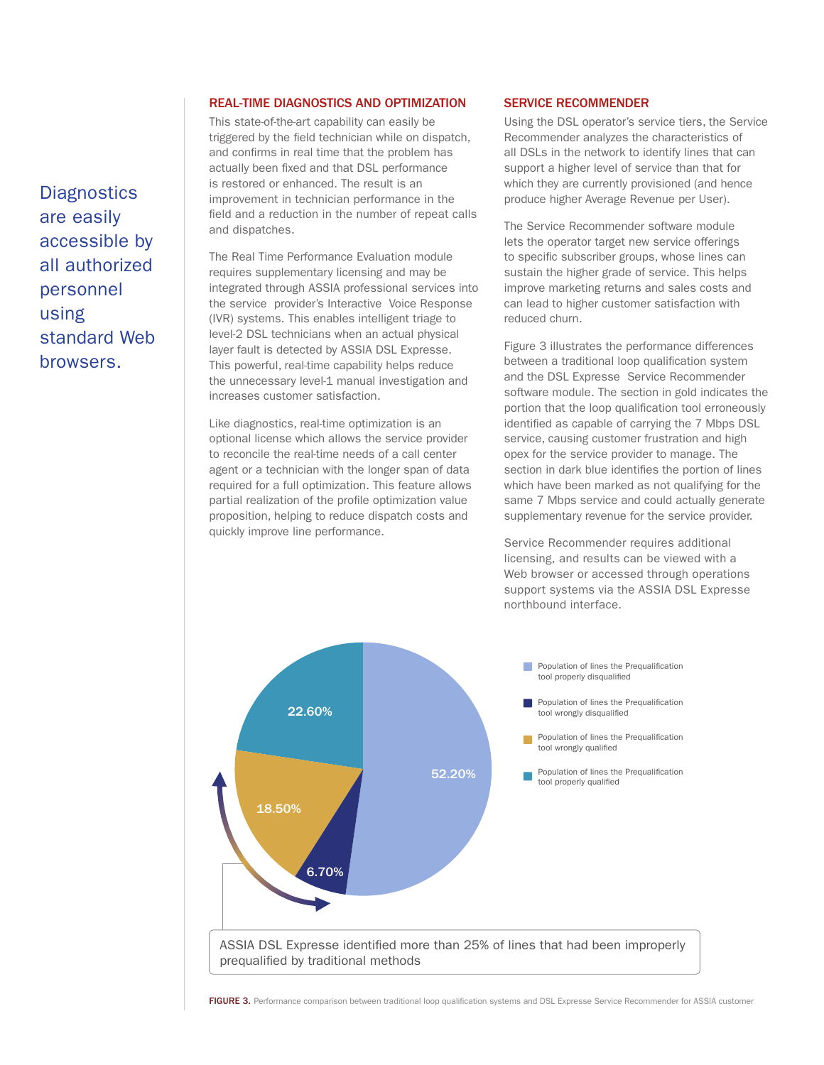**Diagnostics** are easily accessible by all authorized personnel using standard Web browsers.

#### REAL-TIME DIAGNOSTICS AND OPTIMIZATION

This state-of-the-art capability can easily be triggered by the field technician while on dispatch, and confirms in real time that the problem has actually been fixed and that DSL performance is restored or enhanced. The result is an improvement in technician performance in the field and a reduction in the number of repeat calls and dispatches.

The Real Time Performance Evaluation module requires supplementary licensing and may be integrated through ASSIA professional services into the service provider's Interactive Voice Response (IVR) systems. This enables intelligent triage to level-2 DSL technicians when an actual physical layer fault is detected by ASSIA DSL Expresse. This powerful, real-time capability helps reduce the unnecessary level-1 manual investigation and increases customer satisfaction.

Like diagnostics, real-time optimization is an optional license which allows the service provider to reconcile the real-time needs of a call center agent or a technician with the longer span of data required for a full optimization. This feature allows partial realization of the profile optimization value proposition, helping to reduce dispatch costs and quickly improve line performance.

#### SERVICE RECOMMENDER

Using the DSL operator's service tiers, the Service Recommender analyzes the characteristics of all DSLs in the network to identify lines that can support a higher level of service than that for which they are currently provisioned (and hence produce higher Average Revenue per User).

The Service Recommender software module lets the operator target new service offerings to specific subscriber groups, whose lines can sustain the higher grade of service. This helps improve marketing returns and sales costs and can lead to higher customer satisfaction with reduced churn.

Figure 3 illustrates the performance differences between a traditional loop qualification system and the DSL Expresse Service Recommender software module. The section in gold indicates the portion that the loop qualification tool erroneously identified as capable of carrying the 7 Mbps DSL service, causing customer frustration and high opex for the service provider to manage. The section in dark blue identifies the portion of lines which have been marked as not qualifying for the same 7 Mbps service and could actually generate supplementary revenue for the service provider.

Service Recommender requires additional licensing, and results can be viewed with a Web browser or accessed through operations support systems via the ASSIA DSL Expresse northbound interface.